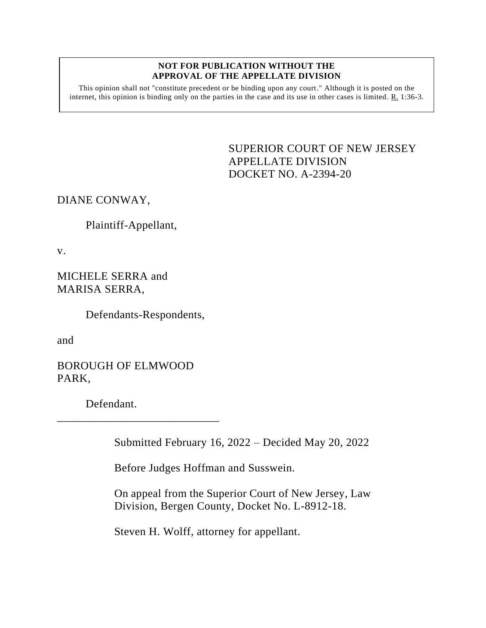#### **NOT FOR PUBLICATION WITHOUT THE APPROVAL OF THE APPELLATE DIVISION**

This opinion shall not "constitute precedent or be binding upon any court." Although it is posted on the internet, this opinion is binding only on the parties in the case and its use in other cases is limited. R. 1:36-3.

> <span id="page-0-0"></span>SUPERIOR COURT OF NEW JERSEY APPELLATE DIVISION DOCKET NO. A-2394-20

DIANE CONWAY,

Plaintiff-Appellant,

v.

MICHELE SERRA and MARISA SERRA,

Defendants-Respondents,

and

BOROUGH OF ELMWOOD PARK,

\_\_\_\_\_\_\_\_\_\_\_\_\_\_\_\_\_\_\_\_\_\_\_\_\_\_\_\_

Defendant.

Submitted February 16, 2022 – Decided May 20, 2022

Before Judges Hoffman and Susswein.

On appeal from the Superior Court of New Jersey, Law Division, Bergen County, Docket No. L-8912-18.

Steven H. Wolff, attorney for appellant.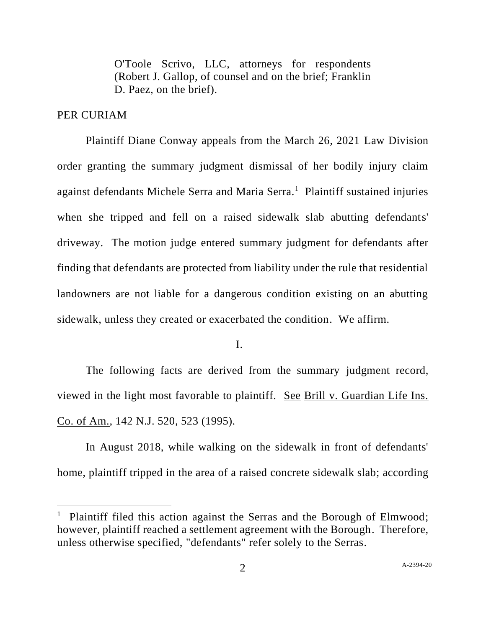O'Toole Scrivo, LLC, attorneys for respondents (Robert J. Gallop, of counsel and on the brief; Franklin D. Paez, on the brief).

#### PER CURIAM

Plaintiff Diane Conway appeals from the March 26, 2021 Law Division order granting the summary judgment dismissal of her bodily injury claim against defendants Michele Serra and Maria Serra.<sup>1</sup> Plaintiff sustained injuries when she tripped and fell on a raised sidewalk slab abutting defendants' driveway. The motion judge entered summary judgment for defendants after finding that defendants are protected from liability under the rule that residential landowners are not liable for a dangerous condition existing on an abutting sidewalk, unless they created or exacerbated the condition. We affirm.

I.

The following facts are derived from the summary judgment record, viewed in the light most favorable to plaintiff. See Brill v. Guardian Life Ins. Co. of Am., 142 N.J. 520, 523 (1995).

In August 2018, while walking on the sidewalk in front of defendants' home, plaintiff tripped in the area of a raised concrete sidewalk slab; according

<sup>&</sup>lt;sup>1</sup> Plaintiff filed this action against the Serras and the Borough of Elmwood; however, plaintiff reached a settlement agreement with the Borough. Therefore, unless otherwise specified, "defendants" refer solely to the Serras.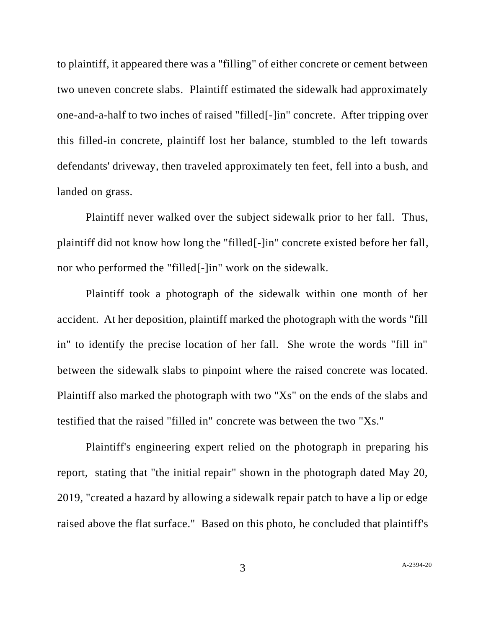to plaintiff, it appeared there was a "filling" of either concrete or cement between two uneven concrete slabs. Plaintiff estimated the sidewalk had approximately one-and-a-half to two inches of raised "filled[-]in" concrete. After tripping over this filled-in concrete, plaintiff lost her balance, stumbled to the left towards defendants' driveway, then traveled approximately ten feet, fell into a bush, and landed on grass.

Plaintiff never walked over the subject sidewalk prior to her fall. Thus, plaintiff did not know how long the "filled[-]in" concrete existed before her fall, nor who performed the "filled[-]in" work on the sidewalk.

Plaintiff took a photograph of the sidewalk within one month of her accident. At her deposition, plaintiff marked the photograph with the words "fill in" to identify the precise location of her fall. She wrote the words "fill in" between the sidewalk slabs to pinpoint where the raised concrete was located. Plaintiff also marked the photograph with two "Xs" on the ends of the slabs and testified that the raised "filled in" concrete was between the two "Xs."

Plaintiff's engineering expert relied on the photograph in preparing his report, stating that "the initial repair" shown in the photograph dated May 20, 2019, "created a hazard by allowing a sidewalk repair patch to have a lip or edge raised above the flat surface." Based on this photo, he concluded that plaintiff's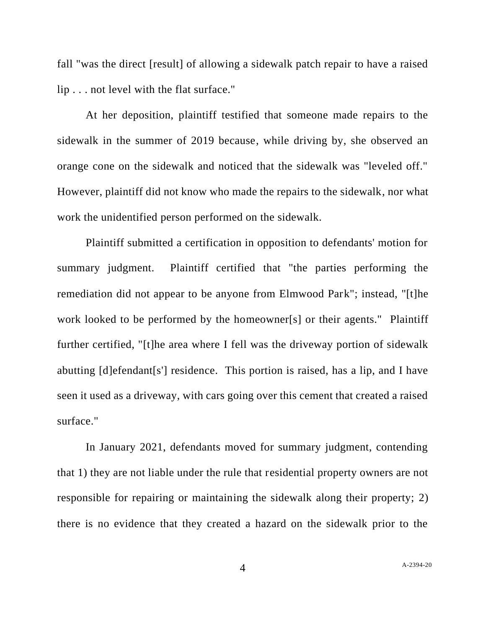fall "was the direct [result] of allowing a sidewalk patch repair to have a raised lip . . . not level with the flat surface."

At her deposition, plaintiff testified that someone made repairs to the sidewalk in the summer of 2019 because, while driving by, she observed an orange cone on the sidewalk and noticed that the sidewalk was "leveled off." However, plaintiff did not know who made the repairs to the sidewalk, nor what work the unidentified person performed on the sidewalk.

Plaintiff submitted a certification in opposition to defendants' motion for summary judgment. Plaintiff certified that "the parties performing the remediation did not appear to be anyone from Elmwood Park"; instead, "[t]he work looked to be performed by the homeowner[s] or their agents." Plaintiff further certified, "[t]he area where I fell was the driveway portion of sidewalk abutting [d]efendant[s'] residence. This portion is raised, has a lip, and I have seen it used as a driveway, with cars going over this cement that created a raised surface."

In January 2021, defendants moved for summary judgment, contending that 1) they are not liable under the rule that residential property owners are not responsible for repairing or maintaining the sidewalk along their property; 2) there is no evidence that they created a hazard on the sidewalk prior to the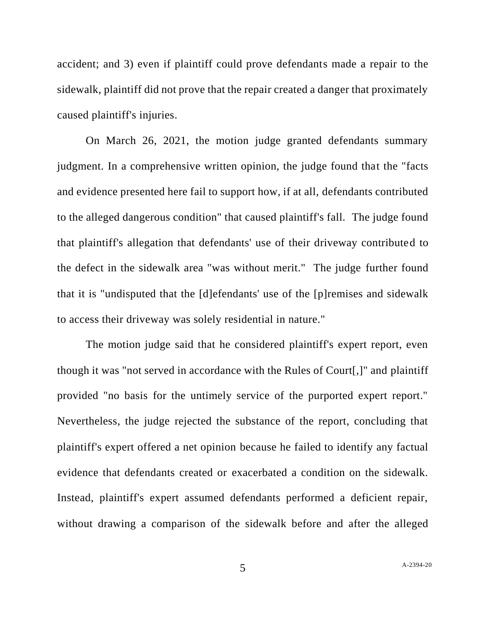accident; and 3) even if plaintiff could prove defendants made a repair to the sidewalk, plaintiff did not prove that the repair created a danger that proximately caused plaintiff's injuries.

On March 26, 2021, the motion judge granted defendants summary judgment. In a comprehensive written opinion, the judge found that the "facts and evidence presented here fail to support how, if at all, defendants contributed to the alleged dangerous condition" that caused plaintiff's fall. The judge found that plaintiff's allegation that defendants' use of their driveway contributed to the defect in the sidewalk area "was without merit." The judge further found that it is "undisputed that the [d]efendants' use of the [p]remises and sidewalk to access their driveway was solely residential in nature."

The motion judge said that he considered plaintiff's expert report, even though it was "not served in accordance with the Rules of Court[,]" and plaintiff provided "no basis for the untimely service of the purported expert report." Nevertheless, the judge rejected the substance of the report, concluding that plaintiff's expert offered a net opinion because he failed to identify any factual evidence that defendants created or exacerbated a condition on the sidewalk. Instead, plaintiff's expert assumed defendants performed a deficient repair, without drawing a comparison of the sidewalk before and after the alleged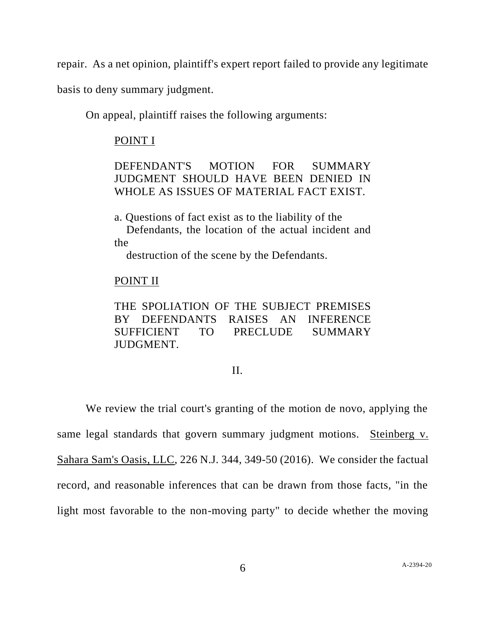repair. As a net opinion, plaintiff's expert report failed to provide any legitimate

basis to deny summary judgment.

On appeal, plaintiff raises the following arguments:

## POINT I

DEFENDANT'S MOTION FOR SUMMARY JUDGMENT SHOULD HAVE BEEN DENIED IN WHOLE AS ISSUES OF MATERIAL FACT EXIST.

a. Questions of fact exist as to the liability of the Defendants, the location of the actual incident and the

destruction of the scene by the Defendants.

# POINT II

THE SPOLIATION OF THE SUBJECT PREMISES BY DEFENDANTS RAISES AN INFERENCE SUFFICIENT TO PRECLUDE SUMMARY JUDGMENT.

### II.

We review the trial court's granting of the motion de novo, applying the same legal standards that govern summary judgment motions. Steinberg v. Sahara Sam's Oasis, LLC, 226 N.J. 344, 349-50 (2016). We consider the factual record, and reasonable inferences that can be drawn from those facts, "in the light most favorable to the non-moving party" to decide whether the moving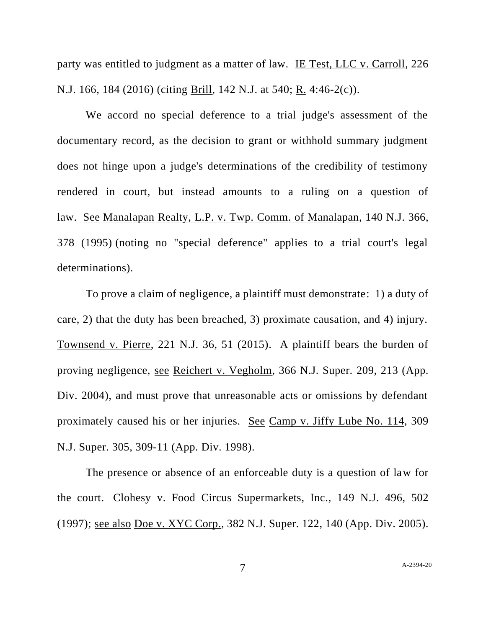party was entitled to judgment as a matter of law. IE Test, LLC v. Carroll, 226 N.J. 166, 184 (2016) (citing Brill, 142 N.J. at 540; R. 4:46-2(c)).

We accord no special deference to a trial judge's assessment of the documentary record, as the decision to grant or withhold summary judgment does not hinge upon a judge's determinations of the credibility of testimony rendered in court, but instead amounts to a ruling on a question of law. See Manalapan Realty, L.P. v. Twp. Comm. of Manalapan, 140 N.J. 366, 378 (1995) (noting no "special deference" applies to a trial court's legal determinations).

To prove a claim of negligence, a plaintiff must demonstrate: 1) a duty of care, 2) that the duty has been breached, 3) proximate causation, and 4) injury. Townsend v. Pierre, 221 N.J. 36, 51 (2015). A plaintiff bears the burden of proving negligence, see Reichert v. Vegholm, 366 N.J. Super. 209, 213 (App. Div. 2004), and must prove that unreasonable acts or omissions by defendant proximately caused his or her injuries. See Camp v. Jiffy Lube No. 114, 309 N.J. Super. 305, 309-11 (App. Div. 1998).

The presence or absence of an enforceable duty is a question of law for the court. Clohesy v. Food Circus Supermarkets, Inc., 149 N.J. 496, 502 (1997); see also Doe v. XYC Corp., 382 N.J. Super. 122, 140 (App. Div. 2005).

7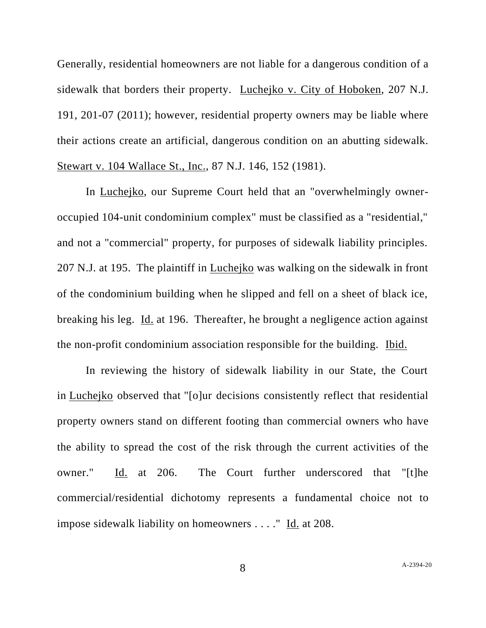Generally, residential homeowners are not liable for a dangerous condition of a sidewalk that borders their property. Luchejko v. City of Hoboken, 207 N.J. 191, 201-07 (2011); however, residential property owners may be liable where their actions create an artificial, dangerous condition on an abutting sidewalk. Stewart v. 104 Wallace St., Inc., 87 N.J. 146, 152 (1981).

In Luchejko, our Supreme Court held that an "overwhelmingly owneroccupied 104-unit condominium complex" must be classified as a "residential," and not a "commercial" property, for purposes of sidewalk liability principles. 207 N.J. at 195. The plaintiff in Luchejko was walking on the sidewalk in front of the condominium building when he slipped and fell on a sheet of black ice, breaking his leg. Id. at [196.](https://1.next.westlaw.com/Link/Document/FullText?findType=Y&serNum=2025781124&pubNum=0000583&originatingDoc=Ica3979701d6811eabbc4990d21dc61be&refType=RP&fi=co_pp_sp_583_196&originationContext=document&transitionType=DocumentItem&ppcid=a68b098852974798b57d7516925a1a82&contextData=(sc.Keycite)#co_pp_sp_583_196) Thereafter, he brought a negligence action against the non-profit condominium association responsible for the building. Ibid.

In reviewing the history of sidewalk liability in our State, the Court in Luchejko observed that "[o]ur decisions consistently reflect that residential property owners stand on different footing than commercial owners who have the ability to spread the cost of the risk through the current activities of the owner." Id. at [206.](https://1.next.westlaw.com/Link/Document/FullText?findType=Y&serNum=2025781124&pubNum=0000583&originatingDoc=Ica3979701d6811eabbc4990d21dc61be&refType=RP&fi=co_pp_sp_583_206&originationContext=document&transitionType=DocumentItem&ppcid=1f0414b745724b839c0cf58f29f00a3a&contextData=(sc.Keycite)#co_pp_sp_583_206) The Court further underscored that "[t]he commercial/residential dichotomy represents a fundamental choice not to impose sidewalk liability on homeowners . . . ." Id. at [208.](https://1.next.westlaw.com/Link/Document/FullText?findType=Y&serNum=2025781124&pubNum=0000583&originatingDoc=Ica3979701d6811eabbc4990d21dc61be&refType=RP&fi=co_pp_sp_583_208&originationContext=document&transitionType=DocumentItem&ppcid=1f0414b745724b839c0cf58f29f00a3a&contextData=(sc.Keycite)#co_pp_sp_583_208)

8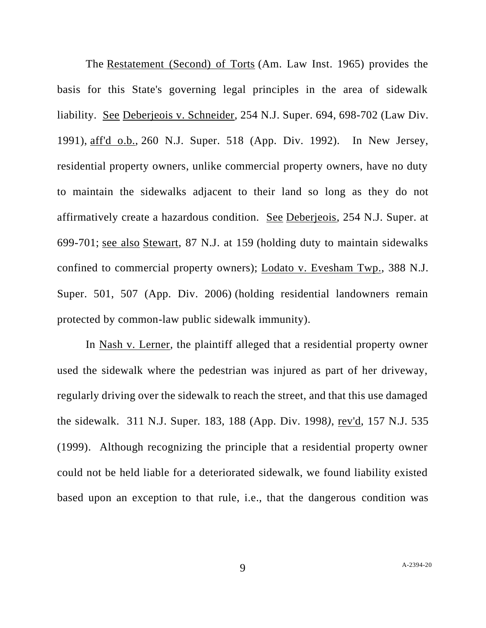The Restatement (Second) of Torts (Am. Law Inst. 1965) provides the basis for this State's governing legal principles in the area of sidewalk liability. See [Deberjeois](https://1.next.westlaw.com/Link/Document/FullText?findType=Y&serNum=1992071206&pubNum=0000590&originatingDoc=Ica3979701d6811eabbc4990d21dc61be&refType=RP&fi=co_pp_sp_590_698&originationContext=document&transitionType=DocumentItem&ppcid=1f0414b745724b839c0cf58f29f00a3a&contextData=(sc.Keycite)#co_pp_sp_590_698) v. Schneider, 254 N.J. Super. 694, 698-702 (Law Div. [1991\),](https://1.next.westlaw.com/Link/Document/FullText?findType=Y&serNum=1992071206&pubNum=0000590&originatingDoc=Ica3979701d6811eabbc4990d21dc61be&refType=RP&fi=co_pp_sp_590_698&originationContext=document&transitionType=DocumentItem&ppcid=1f0414b745724b839c0cf58f29f00a3a&contextData=(sc.Keycite)#co_pp_sp_590_698) aff'd o.b., 260 N.J. [Super.](https://1.next.westlaw.com/Link/Document/FullText?findType=Y&serNum=1993023564&pubNum=0000590&originatingDoc=Ica3979701d6811eabbc4990d21dc61be&refType=RP&originationContext=document&transitionType=DocumentItem&ppcid=1f0414b745724b839c0cf58f29f00a3a&contextData=(sc.Keycite)) 518 (App. Div. 1992). In New Jersey, residential property owners, unlike commercial property owners, have no duty to maintain the sidewalks adjacent to their land so long as they do not affirmatively create a hazardous condition. See Deberjeois, 254 N.J. Super. at 699-701; see also Stewart, 87 N.J. at 159 (holding duty to maintain sidewalks confined to commercial property owners); Lodato v. Evesham Twp., 388 N.J. Super. 501, 507 (App. Div. 2006) (holding residential landowners remain protected by common-law public sidewalk immunity).

In Nash v. Lerner*,* the plaintiff alleged that a residential property owner used the sidewalk where the pedestrian was injured as part of her driveway, regularly driving over the sidewalk to reach the street, and that this use damaged the sidewalk. 311 N.J. Super*.* 183, 188 (App. Div. 1998*)*, rev'd, 157 N.J. 535 (1999). Although recognizing the principle that a residential property owner could not be held liable for a deteriorated sidewalk, we found liability existed based upon an exception to that rule, i.e., that the dangerous condition was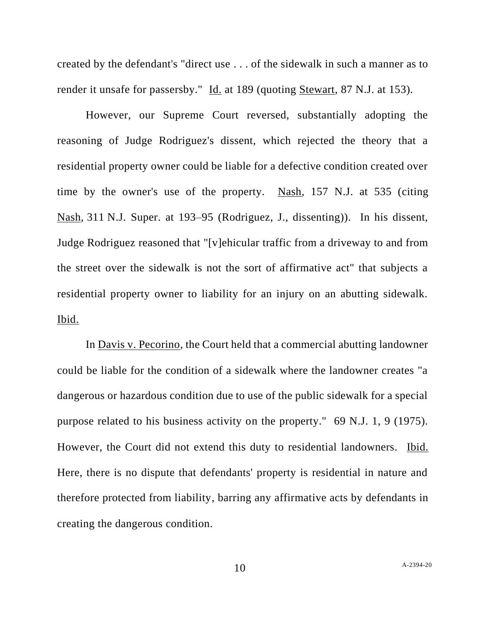created by the defendant's "direct use . . . of the sidewalk in such a manner as to render it unsafe for passersby." Id. at 189 (quoting Stewart*,* 87 N.J. at 153).

However, our Supreme Court reversed, substantially adopting the reasoning of Judge Rodriguez's dissent, which rejected the theory that a residential property owner could be liable for a defective condition created over time by the owner's use of the property. Nash*,* 157 N.J. at 535 (citing Nash*,* 311 N.J. Super. at 193–95 (Rodriguez, J., dissenting)). In his dissent, Judge Rodriguez reasoned that "[v]ehicular traffic from a driveway to and from the street over the sidewalk is not the sort of affirmative act" that subjects a residential property owner to liability for an injury on an abutting sidewalk. Ibid.

In Davis v. Pecorino, the Court held that a commercial abutting landowner could be liable for the condition of a sidewalk where the landowner creates "a dangerous or hazardous condition due to use of the public sidewalk for a special purpose related to his business activity on the property." 69 N.J. 1, 9 (1975). However, the Court did not extend this duty to residential landowners. Ibid. Here, there is no dispute that defendants' property is residential in nature and therefore protected from liability, barring any affirmative acts by defendants in creating the dangerous condition.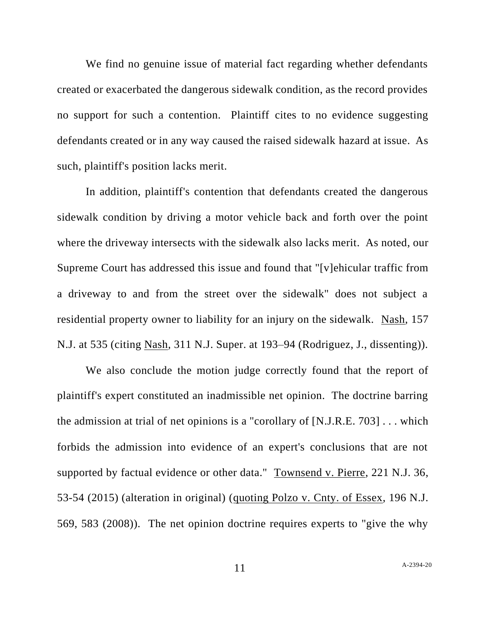We find no genuine issue of material fact regarding whether defendants created or exacerbated the dangerous sidewalk condition, as the record provides no support for such a contention. Plaintiff cites to no evidence suggesting defendants created or in any way caused the raised sidewalk hazard at issue. As such, plaintiff's position lacks merit.

In addition, plaintiff's contention that defendants created the dangerous sidewalk condition by driving a motor vehicle back and forth over the point where the driveway intersects with the sidewalk also lacks merit. As noted, our Supreme Court has addressed this issue and found that "[v]ehicular traffic from a driveway to and from the street over the sidewalk" does not subject a residential property owner to liability for an injury on the sidewalk. Nash*,* 157 N.J. at 535 (citing Nash*,* 311 N.J. Super. at 193–94 (Rodriguez, J., dissenting)).

We also conclude the motion judge correctly found that the report of plaintiff's expert constituted an inadmissible net opinion. The doctrine barring the admission at trial of net opinions is a "corollary of [N.J.R.E. 703] . . . which forbids the admission into evidence of an expert's conclusions that are not supported by factual evidence or other data." Townsend v. Pierre, 221 N.J. 36, 53-54 (2015) (alteration in original) (quoting Polzo v. Cnty. of Essex, 196 N.J. 569, 583 (2008)). The net opinion doctrine requires experts to "give the why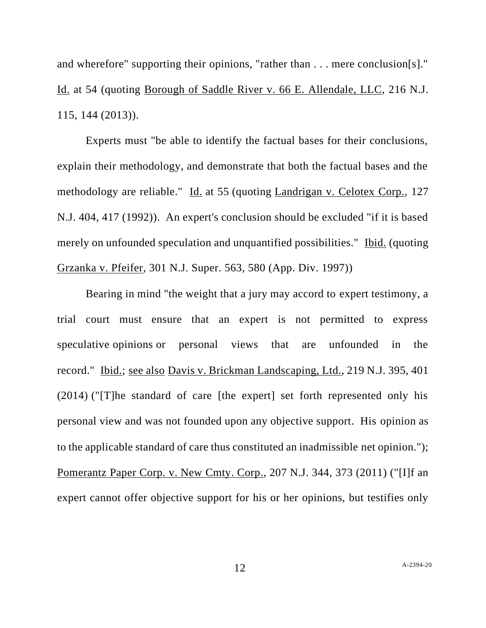and wherefore" supporting their opinions, "rather than . . . mere conclusion[s]." Id. at 54 (quoting Borough of Saddle River v. 66 E. Allendale, LLC, 216 N.J. 115, 144 (2013)).

Experts must "be able to identify the factual bases for their conclusions, explain their methodology, and demonstrate that both the factual bases and the methodology are reliable." Id. at 55 (quoting Landrigan v. Celotex Corp., 127 N.J. 404, 417 (1992)). An expert's conclusion should be excluded "if it is based merely on unfounded speculation and unquantified possibilities." Ibid. (quoting Grzanka v. Pfeifer, 301 N.J. Super. 563, 580 (App. Div. 1997))

Bearing in mind "the weight that a jury may accord to expert testimony, a trial court must ensure that an expert is not permitted to express speculative opinions or personal views that are unfounded in the record." Ibid.; see also Davis v. Brickman Landscaping, Ltd., 219 N.J. 395, 401 (2014) ("[T]he standard of care [the expert] set forth represented only his personal view and was not founded upon any objective support. His opinion as to the applicable standard of care thus constituted an inadmissible net opinion."); Pomerantz Paper Corp. v. New Cmty. Corp., 207 N.J. 344, 373 (2011) ("[I]f an expert cannot offer objective support for his or her opinions, but testifies only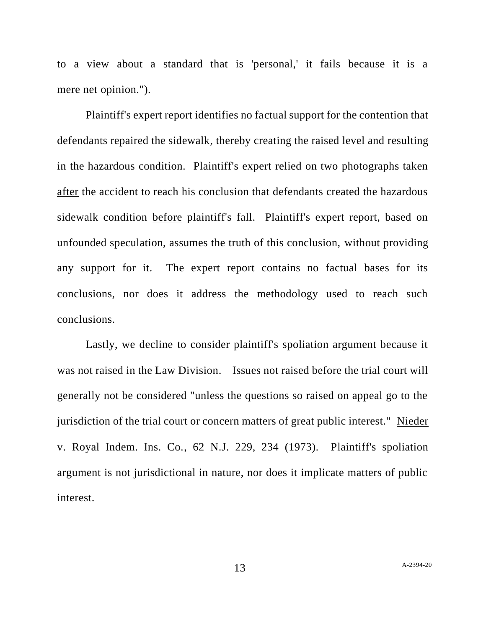to a view about a standard that is 'personal,' it fails because it is a mere net opinion.").

Plaintiff's expert report identifies no factual support for the contention that defendants repaired the sidewalk, thereby creating the raised level and resulting in the hazardous condition. Plaintiff's expert relied on two photographs taken after the accident to reach his conclusion that defendants created the hazardous sidewalk condition before plaintiff's fall. Plaintiff's expert report, based on unfounded speculation, assumes the truth of this conclusion, without providing any support for it. The expert report contains no factual bases for its conclusions, nor does it address the methodology used to reach such conclusions.

Lastly, we decline to consider plaintiff's spoliation argument because it was not raised in the Law Division. Issues not raised before the trial court will generally not be considered "unless the questions so raised on appeal go to the jurisdiction of the trial court or concern matters of great public interest." Nieder v. Royal Indem. Ins. Co., 62 N.J. 229, 234 (1973). Plaintiff's spoliation argument is not jurisdictional in nature, nor does it implicate matters of public interest.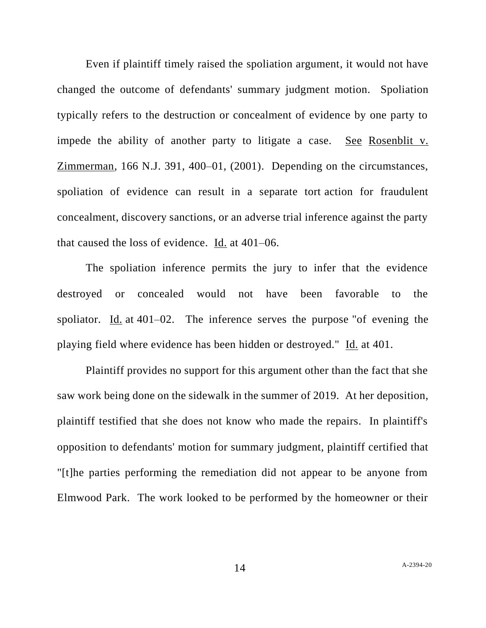Even if plaintiff timely raised the spoliation argument, it would not have changed the outcome of defendants' summary judgment motion. Spoliation typically refers to the destruction or concealment of evidence by one party to impede the ability of another party to litigate a case. See Rosenblit v. Zimmerman*,* 166 N.J. 391, 400–01, (2001). Depending on the circumstances, spoliation of evidence can result in a separate tort action for fraudulent concealment, discovery sanctions, or an adverse trial inference against the party that caused the loss of evidence. Id. at 401–06.

The spoliation inference permits the jury to infer that the evidence destroyed or concealed would not have been favorable to the spoliator. Id. at 401–02. The inference serves the purpose "of evening the playing field where evidence has been hidden or destroyed." Id*.* at 401.

Plaintiff provides no support for this argument other than the fact that she saw work being done on the sidewalk in the summer of 2019. At her deposition, plaintiff testified that she does not know who made the repairs. In plaintiff's opposition to defendants' motion for summary judgment, plaintiff certified that "[t]he parties performing the remediation did not appear to be anyone from Elmwood Park. The work looked to be performed by the homeowner or their